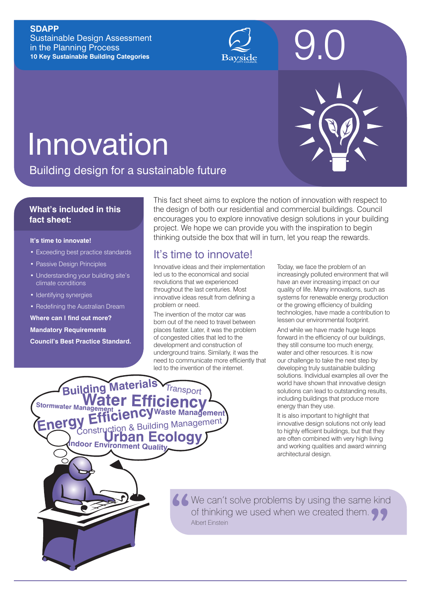#### **SDAPP**

Sustainable Design Assessment in the Planning Process **10 Key Sustainable Building Categories**



# **Innovation**

Building design for a sustainable future

#### **What's included in this fact sheet:**

#### **It's time to innovate!**

- Exceeding best practice standards
- Passive Design Principles
- Understanding your building site's climate conditions
- Identifying synergies
- Redefining the Australian Dream

**Where can I find out more?**

**Mandatory Requirements**

**Council's Best Practice Standard.**

**Building** 

Stormwater Management<br>
Stormwater Management<br> **Water Catalogue** 

This fact sheet aims to explore the notion of innovation with respect to the design of both our residential and commercial buildings. Council encourages you to explore innovative design solutions in your building project. We hope we can provide you with the inspiration to begin thinking outside the box that will in turn, let you reap the rewards.

## It's time to innovate!

Innovative ideas and their implementation led us to the economical and social revolutions that we experienced throughout the last centuries. Most innovative ideas result from defining a problem or need.

The invention of the motor car was born out of the need to travel between places faster. Later, it was the problem of congested cities that led to the development and construction of underground trains. Similarly, it was the need to communicate more efficiently that led to the invention of the internet.

**Waste Management** 

ransport

Today, we face the problem of an increasingly polluted environment that will have an ever increasing impact on our quality of life. Many innovations, such as systems for renewable energy production or the growing efficiency of building technologies, have made a contribution to lessen our environmental footprint.

9.0

And while we have made huge leaps forward in the efficiency of our buildings, they still consume too much energy, water and other resources. It is now our challenge to take the next step by developing truly sustainable building solutions. Individual examples all over the world have shown that innovative design solutions can lead to outstanding results, including buildings that produce more energy than they use.

It is also important to highlight that innovative design solutions not only lead to highly efficient buildings, but that they are often combined with very high living and working qualities and award winning architectural design.

**Indoor Environment Quality**

**Energy Efficiency** Waste Management

**Urban Ecology**

K We can't solve problems by using the same kind of thinking we used when we created them. Albert Einstein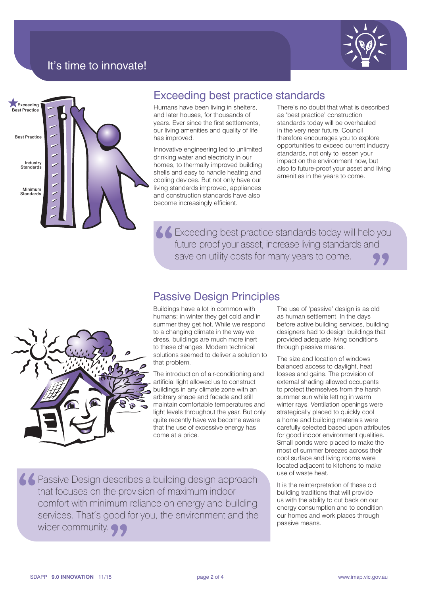

## It's time to innovate!



## Exceeding best practice standards

Humans have been living in shelters, and later houses, for thousands of years. Ever since the first settlements, our living amenities and quality of life has improved.

Innovative engineering led to unlimited drinking water and electricity in our homes, to thermally improved building shells and easy to handle heating and cooling devices. But not only have our living standards improved, appliances and construction standards have also become increasingly efficient.

There's no doubt that what is described as 'best practice' construction standards today will be overhauled in the very near future. Council therefore encourages you to explore opportunities to exceed current industry standards, not only to lessen your impact on the environment now, but also to future-proof your asset and living amenities in the years to come.

Exceeding best practice standards today will help you future-proof your asset, increase living standards and save on utility costs for many years to come.

## Passive Design Principles

Buildings have a lot in common with humans; in winter they get cold and in summer they get hot. While we respond to a changing climate in the way we dress, buildings are much more inert to these changes. Modern technical solutions seemed to deliver a solution to that problem.

The introduction of air-conditioning and artificial light allowed us to construct buildings in any climate zone with an arbitrary shape and facade and still maintain comfortable temperatures and light levels throughout the year. But only quite recently have we become aware that the use of excessive energy has come at a price.

The use of 'passive' design is as old as human settlement. In the days before active building services, building designers had to design buildings that provided adequate living conditions through passive means.

The size and location of windows balanced access to daylight, heat losses and gains. The provision of external shading allowed occupants to protect themselves from the harsh summer sun while letting in warm winter rays. Ventilation openings were strategically placed to quickly cool a home and building materials were carefully selected based upon attributes for good indoor environment qualities. Small ponds were placed to make the most of summer breezes across their cool surface and living rooms were located adjacent to kitchens to make use of waste heat.

It is the reinterpretation of these old building traditions that will provide us with the ability to cut back on our energy consumption and to condition our homes and work places through passive means.



**Passive Design describes a building design approach** that focuses on the provision of maximum indoor comfort with minimum reliance on energy and building services. That's good for you, the environment and the wider community. **99**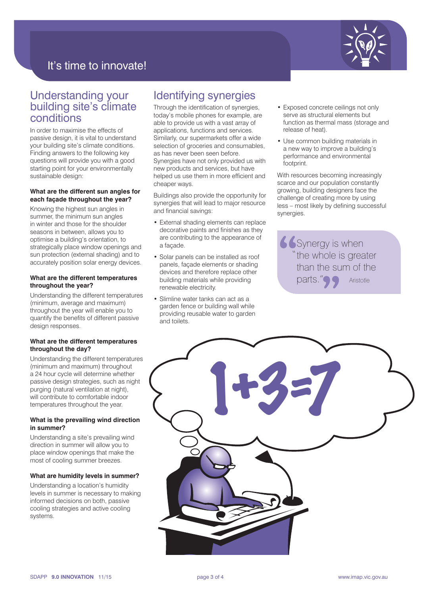

## It's time to innovate!

## Understanding your building site's climate conditions

In order to maximise the effects of passive design, it is vital to understand your building site's climate conditions. Finding answers to the following key questions will provide you with a good starting point for your environmentally sustainable design:

#### **What are the different sun angles for each façade throughout the year?**

Knowing the highest sun angles in summer, the minimum sun angles in winter and those for the shoulder seasons in between, allows you to optimise a building's orientation, to strategically place window openings and sun protection (external shading) and to accurately position solar energy devices.

#### **What are the different temperatures throughout the year?**

Understanding the different temperatures (minimum, average and maximum) throughout the year will enable you to quantify the benefits of different passive design responses.

#### **What are the different temperatures throughout the day?**

Understanding the different temperatures (minimum and maximum) throughout a 24 hour cycle will determine whether passive design strategies, such as night purging (natural ventilation at night), will contribute to comfortable indoor temperatures throughout the year.

#### **What is the prevailing wind direction in summer?**

Understanding a site's prevailing wind direction in summer will allow you to place window openings that make the most of cooling summer breezes.

#### **What are humidity levels in summer?**

Understanding a location's humidity levels in summer is necessary to making informed decisions on both, passive cooling strategies and active cooling systems.

## Identifying synergies

Through the identification of synergies, today's mobile phones for example, are able to provide us with a vast array of applications, functions and services. Similarly, our supermarkets offer a wide selection of groceries and consumables. as has never been seen before. Synergies have not only provided us with new products and services, but have helped us use them in more efficient and cheaper ways.

Buildings also provide the opportunity for synergies that will lead to major resource and financial savings:

- External shading elements can replace decorative paints and finishes as they are contributing to the appearance of a façade.
- Solar panels can be installed as roof panels, façade elements or shading devices and therefore replace other building materials while providing renewable electricity.
- Slimline water tanks can act as a garden fence or building wall while providing reusable water to garden and toilets.
- Exposed concrete ceilings not only serve as structural elements but function as thermal mass (storage and release of heat).
- Use common building materials in a new way to improve a building's performance and environmental footprint.

With resources becoming increasingly scarce and our population constantly growing, building designers face the challenge of creating more by using less – most likely by defining successful synergies.